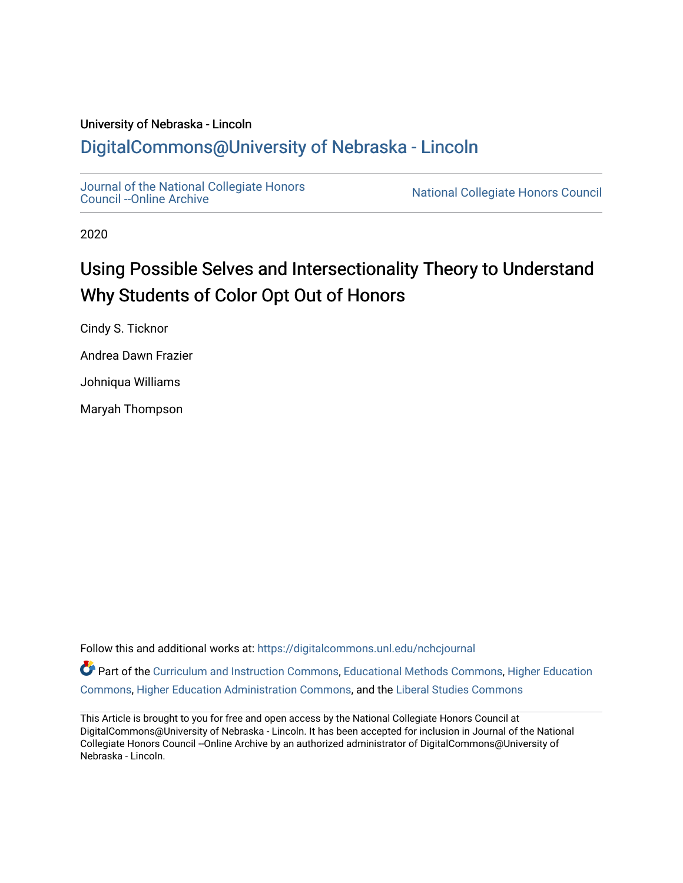## University of Nebraska - Lincoln [DigitalCommons@University of Nebraska - Lincoln](https://digitalcommons.unl.edu/)

[Journal of the National Collegiate Honors](https://digitalcommons.unl.edu/nchcjournal) 

National Collegiate Honors Council

2020

## Using Possible Selves and Intersectionality Theory to Understand Why Students of Color Opt Out of Honors

Cindy S. Ticknor

Andrea Dawn Frazier

Johniqua Williams

Maryah Thompson

Follow this and additional works at: [https://digitalcommons.unl.edu/nchcjournal](https://digitalcommons.unl.edu/nchcjournal?utm_source=digitalcommons.unl.edu%2Fnchcjournal%2F663&utm_medium=PDF&utm_campaign=PDFCoverPages) 

Part of the [Curriculum and Instruction Commons,](http://network.bepress.com/hgg/discipline/786?utm_source=digitalcommons.unl.edu%2Fnchcjournal%2F663&utm_medium=PDF&utm_campaign=PDFCoverPages) [Educational Methods Commons,](http://network.bepress.com/hgg/discipline/1227?utm_source=digitalcommons.unl.edu%2Fnchcjournal%2F663&utm_medium=PDF&utm_campaign=PDFCoverPages) [Higher Education](http://network.bepress.com/hgg/discipline/1245?utm_source=digitalcommons.unl.edu%2Fnchcjournal%2F663&utm_medium=PDF&utm_campaign=PDFCoverPages) [Commons](http://network.bepress.com/hgg/discipline/1245?utm_source=digitalcommons.unl.edu%2Fnchcjournal%2F663&utm_medium=PDF&utm_campaign=PDFCoverPages), [Higher Education Administration Commons](http://network.bepress.com/hgg/discipline/791?utm_source=digitalcommons.unl.edu%2Fnchcjournal%2F663&utm_medium=PDF&utm_campaign=PDFCoverPages), and the [Liberal Studies Commons](http://network.bepress.com/hgg/discipline/1042?utm_source=digitalcommons.unl.edu%2Fnchcjournal%2F663&utm_medium=PDF&utm_campaign=PDFCoverPages)

This Article is brought to you for free and open access by the National Collegiate Honors Council at DigitalCommons@University of Nebraska - Lincoln. It has been accepted for inclusion in Journal of the National Collegiate Honors Council --Online Archive by an authorized administrator of DigitalCommons@University of Nebraska - Lincoln.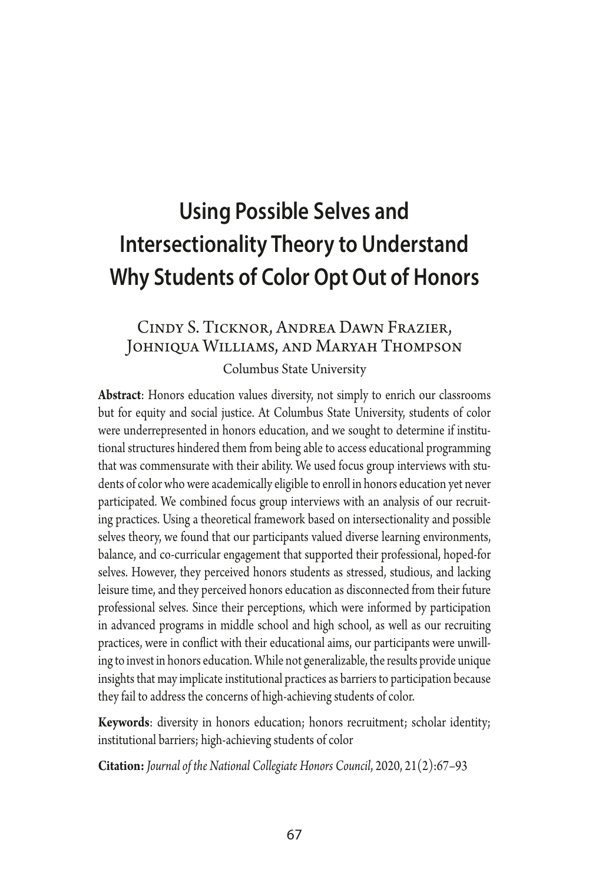# **Using Possible Selves and Intersectionality Theory to Understand Why Students of Color Opt Out of Honors**

## Cindy S. Ticknor, Andrea Dawn Frazier, Johniqua Williams, and Maryah Thompson

Columbus State University

**Abstract**: Honors education values diversity, not simply to enrich our classrooms but for equity and social justice. At Columbus State University, students of color were underrepresented in honors education, and we sought to determine if institutional structures hindered them from being able to access educational programming that was commensurate with their ability. We used focus group interviews with students of color who were academically eligible to enroll in honors education yet never participated. We combined focus group interviews with an analysis of our recruiting practices. Using a theoretical framework based on intersectionality and possible selves theory, we found that our participants valued diverse learning environments, balance, and co-curricular engagement that supported their professional, hoped-for selves. However, they perceived honors students as stressed, studious, and lacking leisure time, and they perceived honors education as disconnected from their future professional selves. Since their perceptions, which were informed by participation in advanced programs in middle school and high school, as well as our recruiting practices, were in confict with their educational aims, our participants were unwilling to invest in honors education. While not generalizable, the results provide unique insights that may implicate institutional practices as barriers to participation because they fail to address the concerns of high-achieving students of color.

**Keywords**: diversity in honors education; honors recruitment; scholar identity; institutional barriers; high-achieving students of color

**Citation:** *Journal of the National Collegiate Honors Council*, 2020, 21(2):67–93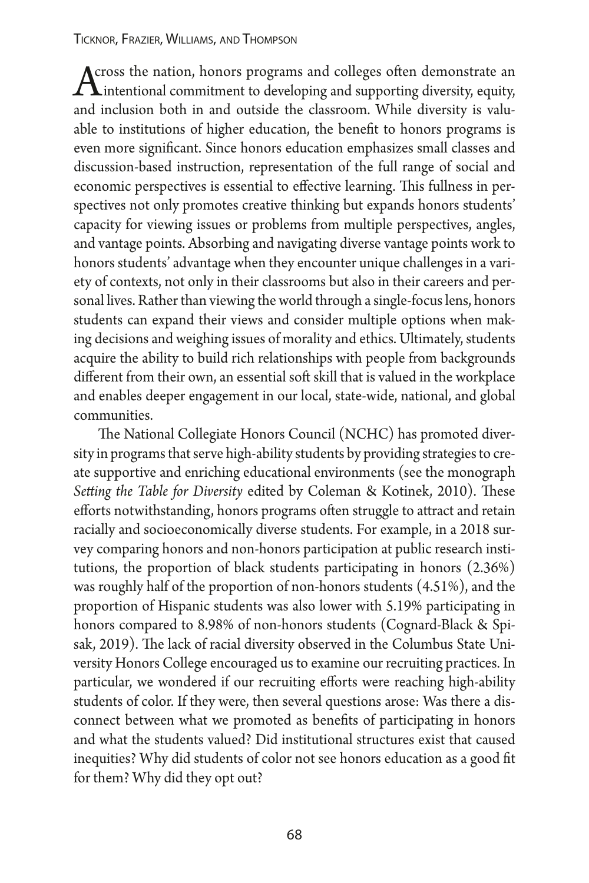Across the nation, honors programs and colleges often demonstrate an<br>
intentional commitment to developing and supporting diversity, equity,<br>
and inclusion both in and outside the electrony While diversity is why and inclusion both in and outside the classroom. While diversity is valuable to institutions of higher education, the beneft to honors programs is even more signifcant. Since honors education emphasizes small classes and discussion-based instruction, representation of the full range of social and economic perspectives is essential to effective learning. This fullness in perspectives not only promotes creative thinking but expands honors students' capacity for viewing issues or problems from multiple perspectives, angles, and vantage points. Absorbing and navigating diverse vantage points work to honors students' advantage when they encounter unique challenges in a variety of contexts, not only in their classrooms but also in their careers and personal lives. Rather than viewing the world through a single-focus lens, honors students can expand their views and consider multiple options when making decisions and weighing issues of morality and ethics. Ultimately, students acquire the ability to build rich relationships with people from backgrounds different from their own, an essential soft skill that is valued in the workplace and enables deeper engagement in our local, state-wide, national, and global communities.

The National Collegiate Honors Council (NCHC) has promoted diversity in programs that serve high-ability students by providing strategies to create supportive and enriching educational environments (see the monograph Setting the Table for Diversity edited by Coleman & Kotinek, 2010). These efforts notwithstanding, honors programs often struggle to attract and retain racially and socioeconomically diverse students. For example, in a 2018 survey comparing honors and non-honors participation at public research institutions, the proportion of black students participating in honors (2.36%) was roughly half of the proportion of non-honors students (4.51%), and the proportion of Hispanic students was also lower with 5.19% participating in honors compared to 8.98% of non-honors students (Cognard-Black & Spisak, 2019). The lack of racial diversity observed in the Columbus State University Honors College encouraged us to examine our recruiting practices. In particular, we wondered if our recruiting efforts were reaching high-ability students of color. If they were, then several questions arose: Was there a disconnect between what we promoted as benefts of participating in honors and what the students valued? Did institutional structures exist that caused inequities? Why did students of color not see honors education as a good ft for them? Why did they opt out?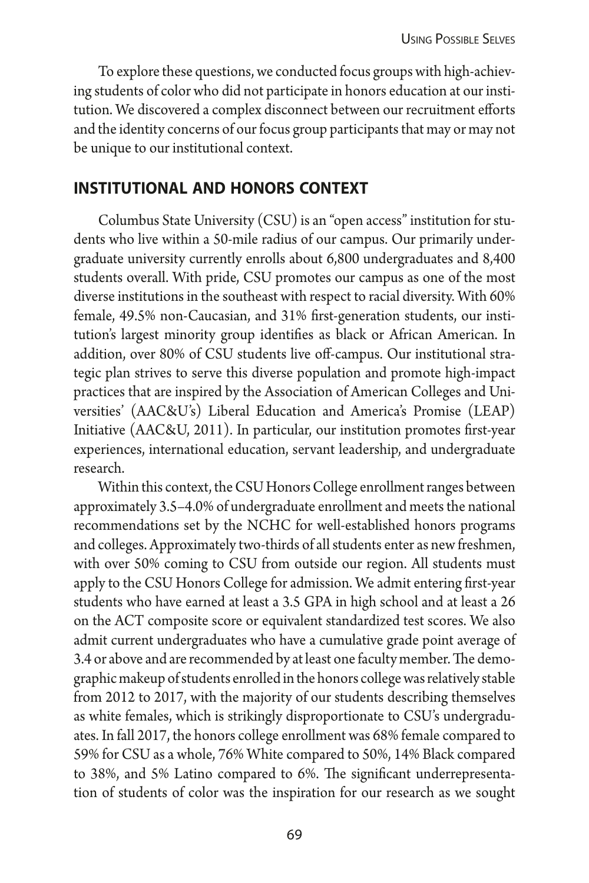To explore these questions, we conducted focus groups with high-achieving students of color who did not participate in honors education at our institution. We discovered a complex disconnect between our recruitment efforts and the identity concerns of our focus group participants that may or may not be unique to our institutional context.

#### **institutional and honors context**

Columbus State University (CSU) is an "open access" institution for students who live within a 50-mile radius of our campus. Our primarily undergraduate university currently enrolls about 6,800 undergraduates and 8,400 students overall. With pride, CSU promotes our campus as one of the most diverse institutions in the southeast with respect to racial diversity. With 60% female, 49.5% non-Caucasian, and 31% frst-generation students, our institution's largest minority group identifes as black or African American. In addition, over 80% of CSU students live off-campus. Our institutional strategic plan strives to serve this diverse population and promote high-impact practices that are inspired by the Association of American Colleges and Universities' (AAC&U's) Liberal Education and America's Promise (LEAP) Initiative (AAC&U, 2011). In particular, our institution promotes frst-year experiences, international education, servant leadership, and undergraduate research.

Within this context, the CSU Honors College enrollment ranges between approximately 3.5–4.0% of undergraduate enrollment and meets the national recommendations set by the NCHC for well-established honors programs and colleges. Approximately two-thirds of all students enter as new freshmen, with over 50% coming to CSU from outside our region. All students must apply to the CSU Honors College for admission. We admit entering frst-year students who have earned at least a 3.5 GPA in high school and at least a 26 on the ACT composite score or equivalent standardized test scores. We also admit current undergraduates who have a cumulative grade point average of 3.4 or above and are recommended by at least one faculty member. The demographic makeup of students enrolled in the honors college was relatively stable from 2012 to 2017, with the majority of our students describing themselves as white females, which is strikingly disproportionate to CSU's undergraduates. In fall 2017, the honors college enrollment was 68% female compared to 59% for CSU as a whole, 76% White compared to 50%, 14% Black compared to 38%, and 5% Latino compared to 6%. The significant underrepresentation of students of color was the inspiration for our research as we sought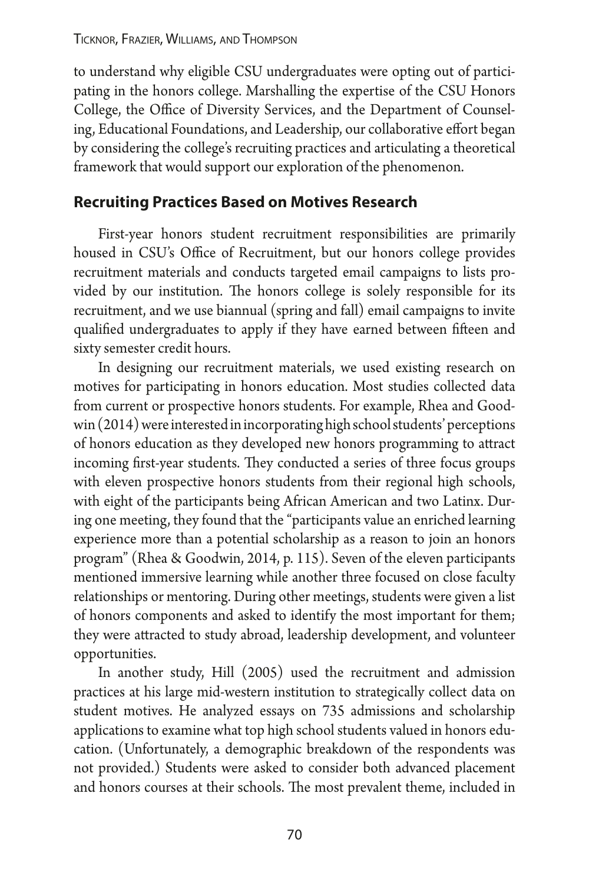to understand why eligible CSU undergraduates were opting out of participating in the honors college. Marshalling the expertise of the CSU Honors College, the Office of Diversity Services, and the Department of Counseling, Educational Foundations, and Leadership, our collaborative efort began by considering the college's recruiting practices and articulating a theoretical framework that would support our exploration of the phenomenon.

#### **Recruiting Practices Based on Motives Research**

First-year honors student recruitment responsibilities are primarily housed in CSU's Office of Recruitment, but our honors college provides recruitment materials and conducts targeted email campaigns to lists provided by our institution. The honors college is solely responsible for its recruitment, and we use biannual (spring and fall) email campaigns to invite qualified undergraduates to apply if they have earned between fifteen and sixty semester credit hours.

In designing our recruitment materials, we used existing research on motives for participating in honors education. Most studies collected data from current or prospective honors students. For example, Rhea and Goodwin (2014) were interested in incorporating high school students' perceptions of honors education as they developed new honors programming to atract incoming first-year students. They conducted a series of three focus groups with eleven prospective honors students from their regional high schools, with eight of the participants being African American and two Latinx. During one meeting, they found that the "participants value an enriched learning experience more than a potential scholarship as a reason to join an honors program" (Rhea & Goodwin, 2014, p. 115). Seven of the eleven participants mentioned immersive learning while another three focused on close faculty relationships or mentoring. During other meetings, students were given a list of honors components and asked to identify the most important for them; they were atracted to study abroad, leadership development, and volunteer opportunities.

In another study, Hill (2005) used the recruitment and admission practices at his large mid-western institution to strategically collect data on student motives. He analyzed essays on 735 admissions and scholarship applications to examine what top high school students valued in honors education. (Unfortunately, a demographic breakdown of the respondents was not provided.) Students were asked to consider both advanced placement and honors courses at their schools. The most prevalent theme, included in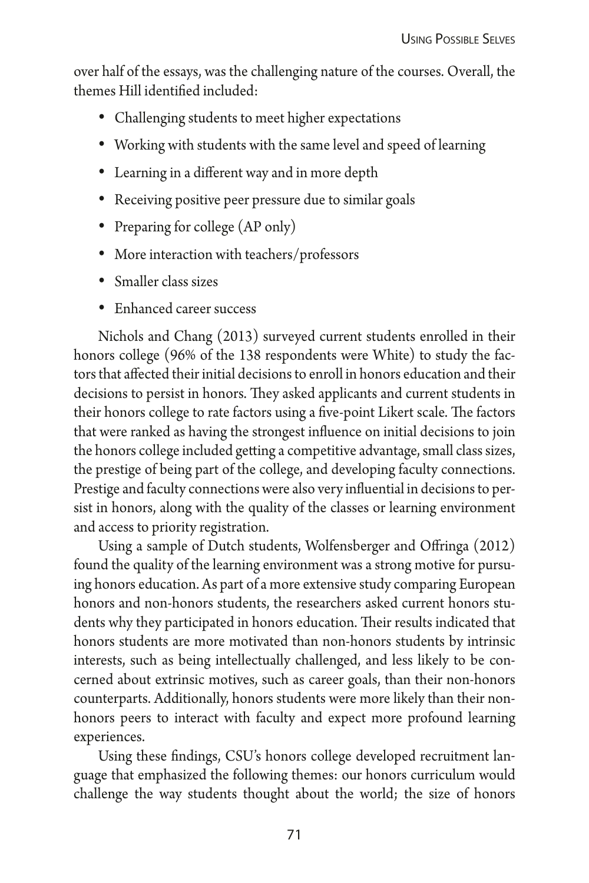over half of the essays, was the challenging nature of the courses. Overall, the themes Hill identifed included:

- Challenging students to meet higher expectations
- Working with students with the same level and speed of learning
- Learning in a different way and in more depth
- Receiving positive peer pressure due to similar goals
- Preparing for college (AP only)
- More interaction with teachers/professors
- Smaller class sizes
- • Enhanced career success

Nichols and Chang (2013) surveyed current students enrolled in their honors college (96% of the 138 respondents were White) to study the factors that afected their initial decisions to enroll in honors education and their decisions to persist in honors. They asked applicants and current students in their honors college to rate factors using a five-point Likert scale. The factors that were ranked as having the strongest infuence on initial decisions to join the honors college included geting a competitive advantage, small class sizes, the prestige of being part of the college, and developing faculty connections. Prestige and faculty connections were also very infuential in decisions to persist in honors, along with the quality of the classes or learning environment and access to priority registration.

Using a sample of Dutch students, Wolfensberger and Ofringa (2012) found the quality of the learning environment was a strong motive for pursuing honors education. As part of a more extensive study comparing European honors and non-honors students, the researchers asked current honors students why they participated in honors education. Their results indicated that honors students are more motivated than non-honors students by intrinsic interests, such as being intellectually challenged, and less likely to be concerned about extrinsic motives, such as career goals, than their non-honors counterparts. Additionally, honors students were more likely than their nonhonors peers to interact with faculty and expect more profound learning experiences.

Using these fndings, CSU's honors college developed recruitment language that emphasized the following themes: our honors curriculum would challenge the way students thought about the world; the size of honors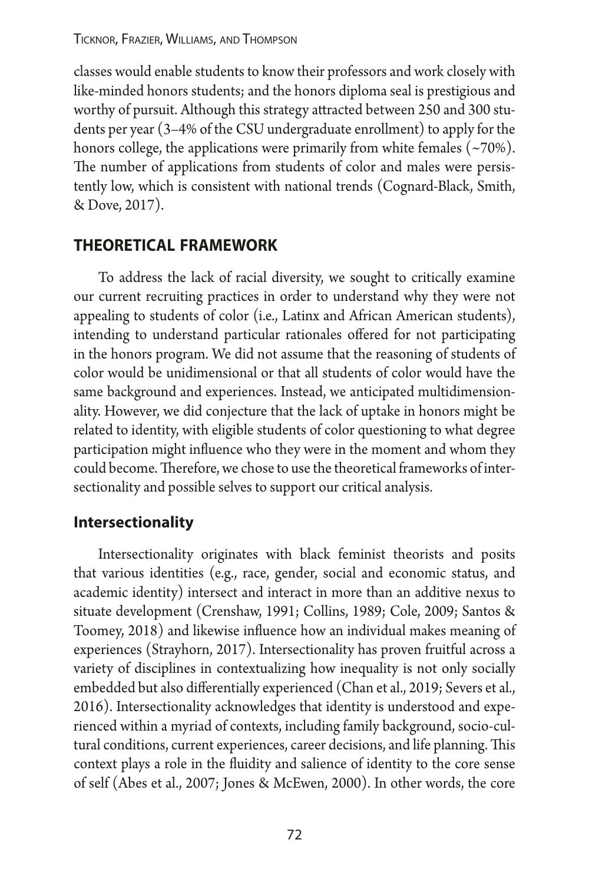Ticknor, Frazier, Williams, and Thompson

classes would enable students to know their professors and work closely with like-minded honors students; and the honors diploma seal is prestigious and worthy of pursuit. Although this strategy atracted between 250 and 300 students per year (3–4% of the CSU undergraduate enrollment) to apply for the honors college, the applications were primarily from white females  $(\sim 70\%)$ . The number of applications from students of color and males were persistently low, which is consistent with national trends (Cognard-Black, Smith, & Dove, 2017).

#### **theoretical framework**

To address the lack of racial diversity, we sought to critically examine our current recruiting practices in order to understand why they were not appealing to students of color (i.e., Latinx and African American students), intending to understand particular rationales offered for not participating in the honors program. We did not assume that the reasoning of students of color would be unidimensional or that all students of color would have the same background and experiences. Instead, we anticipated multidimensionality. However, we did conjecture that the lack of uptake in honors might be related to identity, with eligible students of color questioning to what degree participation might infuence who they were in the moment and whom they could become. Therefore, we chose to use the theoretical frameworks of intersectionality and possible selves to support our critical analysis.

#### **Intersectionality**

Intersectionality originates with black feminist theorists and posits that various identities (e.g., race, gender, social and economic status, and academic identity) intersect and interact in more than an additive nexus to situate development (Crenshaw, 1991; Collins, 1989; Cole, 2009; Santos & Toomey, 2018) and likewise infuence how an individual makes meaning of experiences (Strayhorn, 2017). Intersectionality has proven fruitful across a variety of disciplines in contextualizing how inequality is not only socially embedded but also diferentially experienced (Chan et al., 2019; Severs et al., 2016). Intersectionality acknowledges that identity is understood and experienced within a myriad of contexts, including family background, socio-cultural conditions, current experiences, career decisions, and life planning. This context plays a role in the fuidity and salience of identity to the core sense of self (Abes et al., 2007; Jones & McEwen, 2000). In other words, the core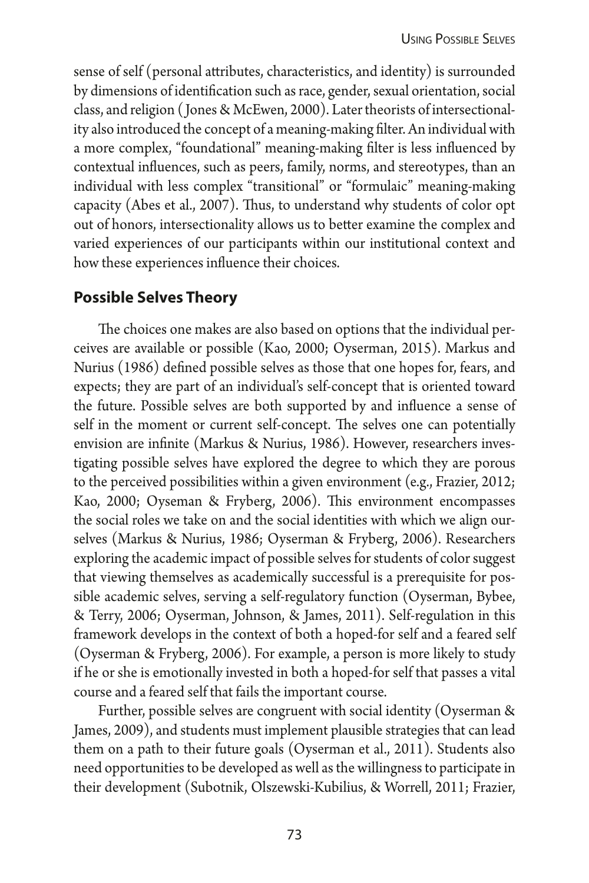sense of self (personal atributes, characteristics, and identity) is surrounded by dimensions of identifcation such as race, gender, sexual orientation, social class, and religion ( Jones & McEwen, 2000). Later theorists of intersectionality also introduced the concept of a meaning-making flter. An individual with a more complex, "foundational" meaning-making flter is less infuenced by contextual infuences, such as peers, family, norms, and stereotypes, than an individual with less complex "transitional" or "formulaic" meaning-making capacity (Abes et al., 2007). Thus, to understand why students of color opt out of honors, intersectionality allows us to beter examine the complex and varied experiences of our participants within our institutional context and how these experiences infuence their choices.

#### **Possible Selves Theory**

The choices one makes are also based on options that the individual perceives are available or possible (Kao, 2000; Oyserman, 2015). Markus and Nurius (1986) defned possible selves as those that one hopes for, fears, and expects; they are part of an individual's self-concept that is oriented toward the future. Possible selves are both supported by and infuence a sense of self in the moment or current self-concept. The selves one can potentially envision are infnite (Markus & Nurius, 1986). However, researchers investigating possible selves have explored the degree to which they are porous to the perceived possibilities within a given environment (e.g., Frazier, 2012; Kao, 2000; Oyseman & Fryberg, 2006). This environment encompasses the social roles we take on and the social identities with which we align ourselves (Markus & Nurius, 1986; Oyserman & Fryberg, 2006). Researchers exploring the academic impact of possible selves for students of color suggest that viewing themselves as academically successful is a prerequisite for possible academic selves, serving a self-regulatory function (Oyserman, Bybee, & Terry, 2006; Oyserman, Johnson, & James, 2011). Self-regulation in this framework develops in the context of both a hoped-for self and a feared self (Oyserman & Fryberg, 2006). For example, a person is more likely to study if he or she is emotionally invested in both a hoped-for self that passes a vital course and a feared self that fails the important course.

Further, possible selves are congruent with social identity (Oyserman & James, 2009), and students must implement plausible strategies that can lead them on a path to their future goals (Oyserman et al., 2011). Students also need opportunities to be developed as well as the willingness to participate in their development (Subotnik, Olszewski-Kubilius, & Worrell, 2011; Frazier,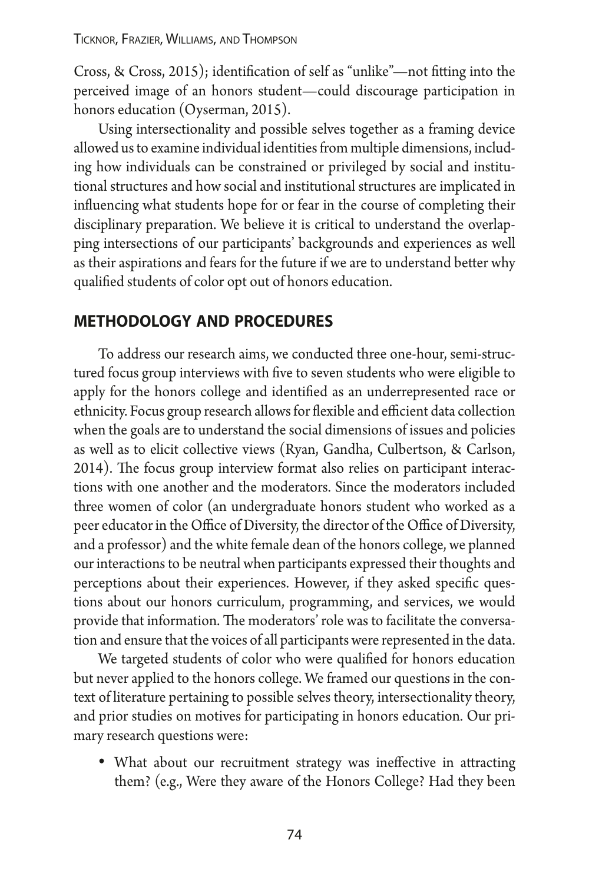Cross, & Cross, 2015); identifcation of self as "unlike"—not fting into the perceived image of an honors student—could discourage participation in honors education (Oyserman, 2015).

Using intersectionality and possible selves together as a framing device allowed us to examine individual identities from multiple dimensions, including how individuals can be constrained or privileged by social and institutional structures and how social and institutional structures are implicated in infuencing what students hope for or fear in the course of completing their disciplinary preparation. We believe it is critical to understand the overlapping intersections of our participants' backgrounds and experiences as well as their aspirations and fears for the future if we are to understand beter why qualifed students of color opt out of honors education.

#### **methodology and procedures**

To address our research aims, we conducted three one-hour, semi-structured focus group interviews with fve to seven students who were eligible to apply for the honors college and identifed as an underrepresented race or ethnicity. Focus group research allows for flexible and efficient data collection when the goals are to understand the social dimensions of issues and policies as well as to elicit collective views (Ryan, Gandha, Culbertson, & Carlson, 2014). The focus group interview format also relies on participant interactions with one another and the moderators. Since the moderators included three women of color (an undergraduate honors student who worked as a peer educator in the Office of Diversity, the director of the Office of Diversity, and a professor) and the white female dean of the honors college, we planned our interactions to be neutral when participants expressed their thoughts and perceptions about their experiences. However, if they asked specifc questions about our honors curriculum, programming, and services, we would provide that information. The moderators' role was to facilitate the conversation and ensure that the voices of all participants were represented in the data.

We targeted students of color who were qualifed for honors education but never applied to the honors college. We framed our questions in the context of literature pertaining to possible selves theory, intersectionality theory, and prior studies on motives for participating in honors education. Our primary research questions were:

• What about our recruitment strategy was ineffective in attracting them? (e.g., Were they aware of the Honors College? Had they been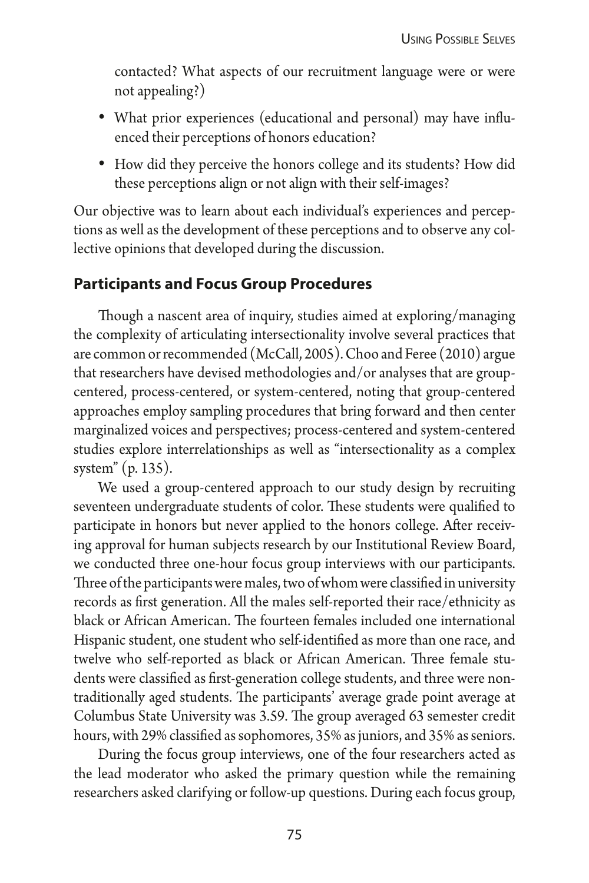contacted? What aspects of our recruitment language were or were not appealing?)

- What prior experiences (educational and personal) may have influenced their perceptions of honors education?
- How did they perceive the honors college and its students? How did these perceptions align or not align with their self-images?

Our objective was to learn about each individual's experiences and perceptions as well as the development of these perceptions and to observe any collective opinions that developed during the discussion.

#### **Participants and Focus Group Procedures**

Though a nascent area of inquiry, studies aimed at exploring/managing the complexity of articulating intersectionality involve several practices that are common or recommended (McCall, 2005). Choo and Feree (2010) argue that researchers have devised methodologies and/or analyses that are groupcentered, process-centered, or system-centered, noting that group-centered approaches employ sampling procedures that bring forward and then center marginalized voices and perspectives; process-centered and system-centered studies explore interrelationships as well as "intersectionality as a complex system" (p. 135).

We used a group-centered approach to our study design by recruiting seventeen undergraduate students of color. These students were qualified to participate in honors but never applied to the honors college. After receiving approval for human subjects research by our Institutional Review Board, we conducted three one-hour focus group interviews with our participants. Three of the participants were males, two of whom were classified in university records as frst generation. All the males self-reported their race/ethnicity as black or African American. The fourteen females included one international Hispanic student, one student who self-identifed as more than one race, and twelve who self-reported as black or African American. Three female students were classifed as frst-generation college students, and three were nontraditionally aged students. The participants' average grade point average at Columbus State University was 3.59. The group averaged 63 semester credit hours, with 29% classifed as sophomores, 35% as juniors, and 35% as seniors.

During the focus group interviews, one of the four researchers acted as the lead moderator who asked the primary question while the remaining researchers asked clarifying or follow-up questions. During each focus group,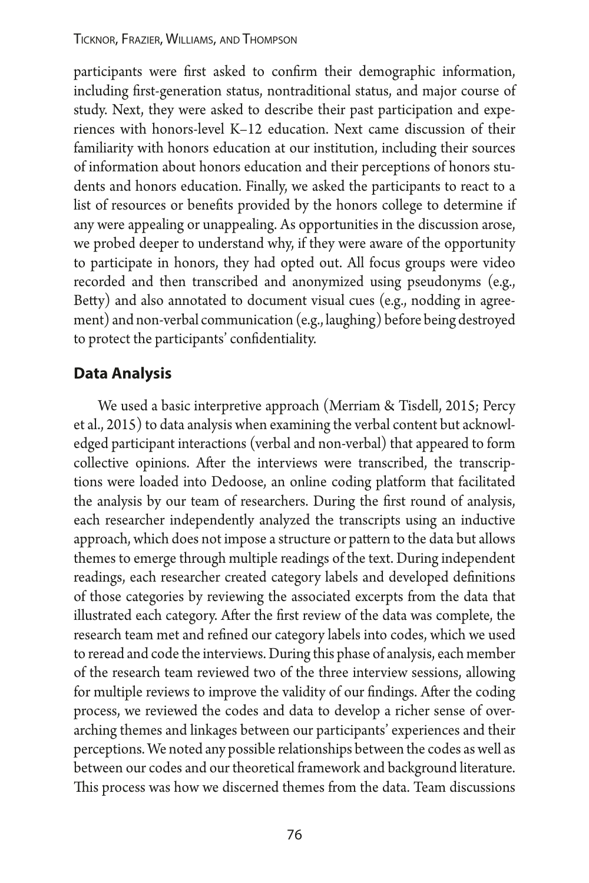participants were frst asked to confrm their demographic information, including frst-generation status, nontraditional status, and major course of study. Next, they were asked to describe their past participation and experiences with honors-level K–12 education. Next came discussion of their familiarity with honors education at our institution, including their sources of information about honors education and their perceptions of honors students and honors education. Finally, we asked the participants to react to a list of resources or benefts provided by the honors college to determine if any were appealing or unappealing. As opportunities in the discussion arose, we probed deeper to understand why, if they were aware of the opportunity to participate in honors, they had opted out. All focus groups were video recorded and then transcribed and anonymized using pseudonyms (e.g., Bety) and also annotated to document visual cues (e.g., nodding in agreement) and non-verbal communication (e.g., laughing) before being destroyed to protect the participants' confdentiality.

#### **Data Analysis**

We used a basic interpretive approach (Merriam & Tisdell, 2015; Percy et al., 2015) to data analysis when examining the verbal content but acknowledged participant interactions (verbal and non-verbal) that appeared to form collective opinions. Afer the interviews were transcribed, the transcriptions were loaded into Dedoose, an online coding platform that facilitated the analysis by our team of researchers. During the frst round of analysis, each researcher independently analyzed the transcripts using an inductive approach, which does not impose a structure or patern to the data but allows themes to emerge through multiple readings of the text. During independent readings, each researcher created category labels and developed defnitions of those categories by reviewing the associated excerpts from the data that illustrated each category. Afer the frst review of the data was complete, the research team met and refned our category labels into codes, which we used to reread and code the interviews. During this phase of analysis, each member of the research team reviewed two of the three interview sessions, allowing for multiple reviews to improve the validity of our findings. After the coding process, we reviewed the codes and data to develop a richer sense of overarching themes and linkages between our participants' experiences and their perceptions. We noted any possible relationships between the codes as well as between our codes and our theoretical framework and background literature. This process was how we discerned themes from the data. Team discussions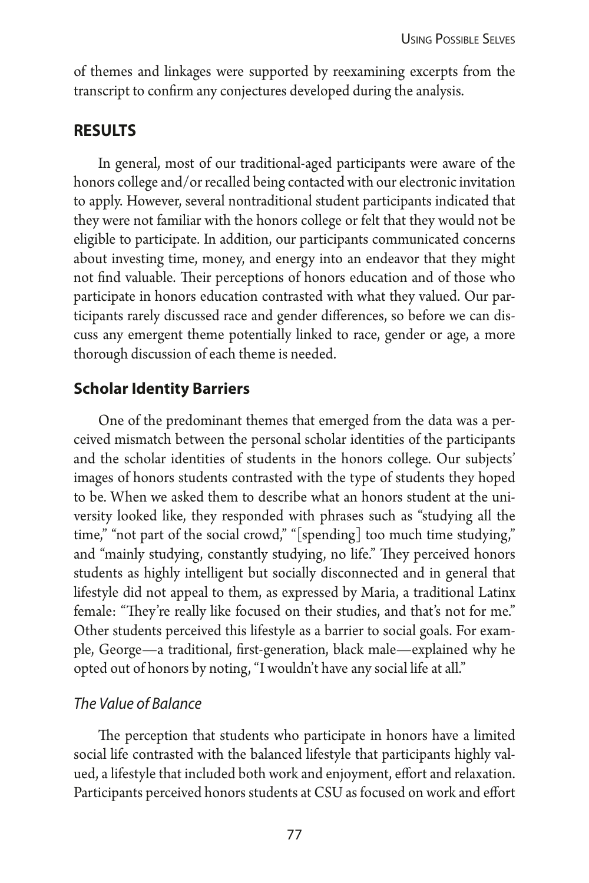of themes and linkages were supported by reexamining excerpts from the transcript to confrm any conjectures developed during the analysis.

#### **results**

In general, most of our traditional-aged participants were aware of the honors college and/or recalled being contacted with our electronic invitation to apply. However, several nontraditional student participants indicated that they were not familiar with the honors college or felt that they would not be eligible to participate. In addition, our participants communicated concerns about investing time, money, and energy into an endeavor that they might not find valuable. Their perceptions of honors education and of those who participate in honors education contrasted with what they valued. Our participants rarely discussed race and gender diferences, so before we can discuss any emergent theme potentially linked to race, gender or age, a more thorough discussion of each theme is needed.

#### **Scholar Identity Barriers**

One of the predominant themes that emerged from the data was a perceived mismatch between the personal scholar identities of the participants and the scholar identities of students in the honors college. Our subjects' images of honors students contrasted with the type of students they hoped to be. When we asked them to describe what an honors student at the university looked like, they responded with phrases such as "studying all the time," "not part of the social crowd," "[spending] too much time studying," and "mainly studying, constantly studying, no life." They perceived honors students as highly intelligent but socially disconnected and in general that lifestyle did not appeal to them, as expressed by Maria, a traditional Latinx female: "They're really like focused on their studies, and that's not for me." Other students perceived this lifestyle as a barrier to social goals. For example, George—a traditional, frst-generation, black male—explained why he opted out of honors by noting, "I wouldn't have any social life at all."

#### *The Value of Balance*

The perception that students who participate in honors have a limited social life contrasted with the balanced lifestyle that participants highly valued, a lifestyle that included both work and enjoyment, efort and relaxation. Participants perceived honors students at CSU as focused on work and effort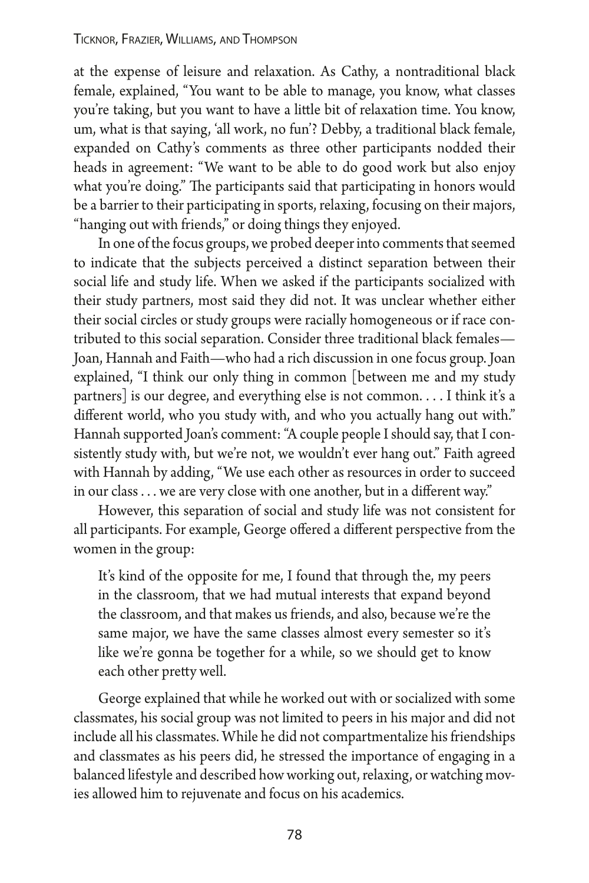at the expense of leisure and relaxation. As Cathy, a nontraditional black female, explained, "You want to be able to manage, you know, what classes you're taking, but you want to have a litle bit of relaxation time. You know, um, what is that saying, 'all work, no fun'? Debby, a traditional black female, expanded on Cathy's comments as three other participants nodded their heads in agreement: "We want to be able to do good work but also enjoy what you're doing." The participants said that participating in honors would be a barrier to their participating in sports, relaxing, focusing on their majors, "hanging out with friends," or doing things they enjoyed.

In one of the focus groups, we probed deeper into comments that seemed to indicate that the subjects perceived a distinct separation between their social life and study life. When we asked if the participants socialized with their study partners, most said they did not. It was unclear whether either their social circles or study groups were racially homogeneous or if race contributed to this social separation. Consider three traditional black females— Joan, Hannah and Faith—who had a rich discussion in one focus group. Joan explained, "I think our only thing in common [between me and my study partners] is our degree, and everything else is not common.... I think it's a diferent world, who you study with, and who you actually hang out with." Hannah supported Joan's comment: "A couple people I should say, that I consistently study with, but we're not, we wouldn't ever hang out." Faith agreed with Hannah by adding, "We use each other as resources in order to succeed in our class ... we are very close with one another, but in a diferent way."

However, this separation of social and study life was not consistent for all participants. For example, George offered a different perspective from the women in the group:

It's kind of the opposite for me, I found that through the, my peers in the classroom, that we had mutual interests that expand beyond the classroom, and that makes us friends, and also, because we're the same major, we have the same classes almost every semester so it's like we're gonna be together for a while, so we should get to know each other prety well.

George explained that while he worked out with or socialized with some classmates, his social group was not limited to peers in his major and did not include all his classmates. While he did not compartmentalize his friendships and classmates as his peers did, he stressed the importance of engaging in a balanced lifestyle and described how working out, relaxing, or watching movies allowed him to rejuvenate and focus on his academics.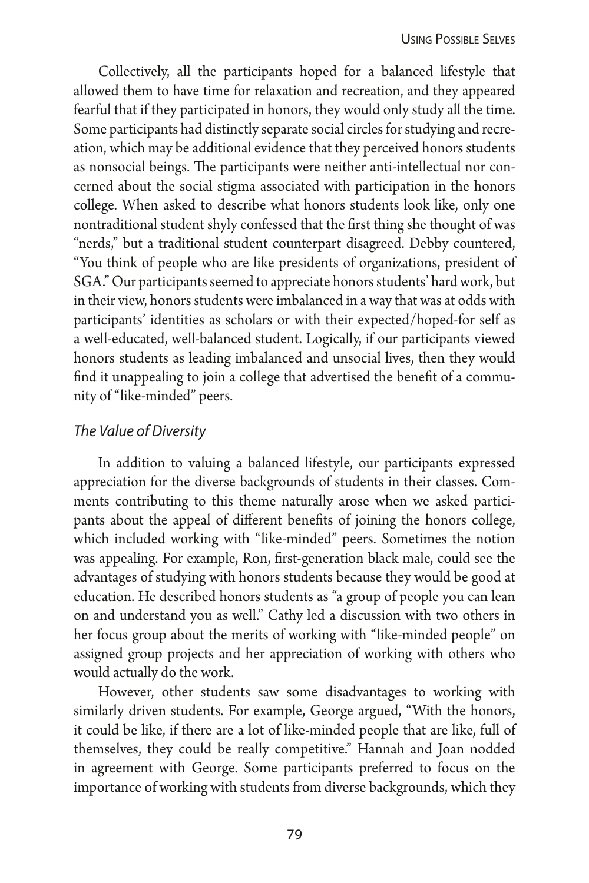Collectively, all the participants hoped for a balanced lifestyle that allowed them to have time for relaxation and recreation, and they appeared fearful that if they participated in honors, they would only study all the time. Some participants had distinctly separate social circles for studying and recreation, which may be additional evidence that they perceived honors students as nonsocial beings. The participants were neither anti-intellectual nor concerned about the social stigma associated with participation in the honors college. When asked to describe what honors students look like, only one nontraditional student shyly confessed that the frst thing she thought of was "nerds," but a traditional student counterpart disagreed. Debby countered, "You think of people who are like presidents of organizations, president of SGA." Our participants seemed to appreciate honors students' hard work, but in their view, honors students were imbalanced in a way that was at odds with participants' identities as scholars or with their expected/hoped-for self as a well-educated, well-balanced student. Logically, if our participants viewed honors students as leading imbalanced and unsocial lives, then they would fnd it unappealing to join a college that advertised the beneft of a community of "like-minded" peers.

#### *The Value of Diversity*

In addition to valuing a balanced lifestyle, our participants expressed appreciation for the diverse backgrounds of students in their classes. Comments contributing to this theme naturally arose when we asked participants about the appeal of diferent benefts of joining the honors college, which included working with "like-minded" peers. Sometimes the notion was appealing. For example, Ron, frst-generation black male, could see the advantages of studying with honors students because they would be good at education. He described honors students as "a group of people you can lean on and understand you as well." Cathy led a discussion with two others in her focus group about the merits of working with "like-minded people" on assigned group projects and her appreciation of working with others who would actually do the work.

However, other students saw some disadvantages to working with similarly driven students. For example, George argued, "With the honors, it could be like, if there are a lot of like-minded people that are like, full of themselves, they could be really competitive." Hannah and Joan nodded in agreement with George. Some participants preferred to focus on the importance of working with students from diverse backgrounds, which they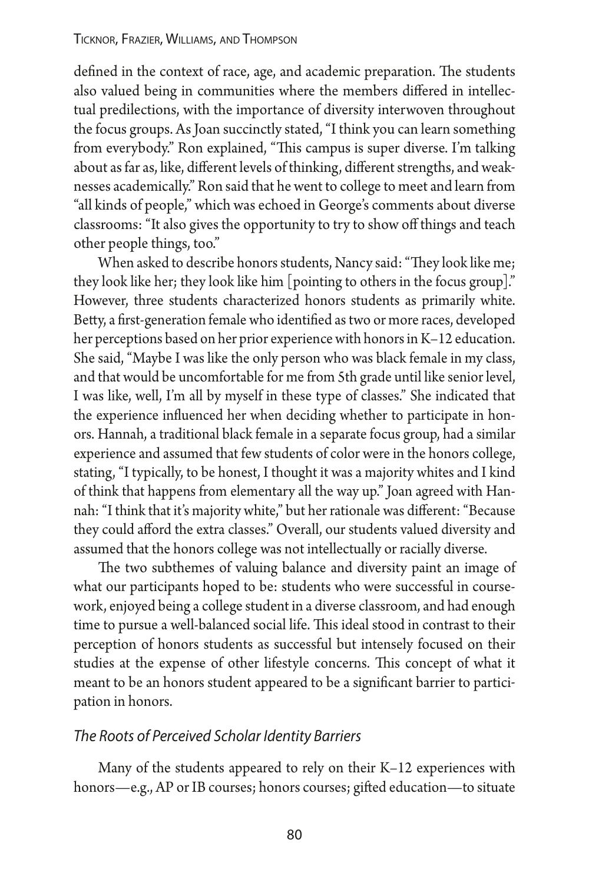defined in the context of race, age, and academic preparation. The students also valued being in communities where the members difered in intellectual predilections, with the importance of diversity interwoven throughout the focus groups. As Joan succinctly stated, "I think you can learn something from everybody." Ron explained, "This campus is super diverse. I'm talking about as far as, like, diferent levels of thinking, diferent strengths, and weaknesses academically." Ron said that he went to college to meet and learn from "all kinds of people," which was echoed in George's comments about diverse classrooms: "It also gives the opportunity to try to show off things and teach other people things, too."

When asked to describe honors students, Nancy said: "They look like me; they look like her; they look like him [pointing to others in the focus group]." However, three students characterized honors students as primarily white. Bety, a frst-generation female who identifed as two or more races, developed her perceptions based on her prior experience with honors in K–12 education. She said, "Maybe I was like the only person who was black female in my class, and that would be uncomfortable for me from 5th grade until like senior level, I was like, well, I'm all by myself in these type of classes." She indicated that the experience infuenced her when deciding whether to participate in honors. Hannah, a traditional black female in a separate focus group, had a similar experience and assumed that few students of color were in the honors college, stating, "I typically, to be honest, I thought it was a majority whites and I kind of think that happens from elementary all the way up." Joan agreed with Hannah: "I think that it's majority white," but her rationale was diferent: "Because they could aford the extra classes." Overall, our students valued diversity and assumed that the honors college was not intellectually or racially diverse.

The two subthemes of valuing balance and diversity paint an image of what our participants hoped to be: students who were successful in coursework, enjoyed being a college student in a diverse classroom, and had enough time to pursue a well-balanced social life. This ideal stood in contrast to their perception of honors students as successful but intensely focused on their studies at the expense of other lifestyle concerns. This concept of what it meant to be an honors student appeared to be a signifcant barrier to participation in honors.

#### *The Roots of Perceived Scholar Identity Barriers*

Many of the students appeared to rely on their K–12 experiences with honors—e.g., AP or IB courses; honors courses; gifed education—to situate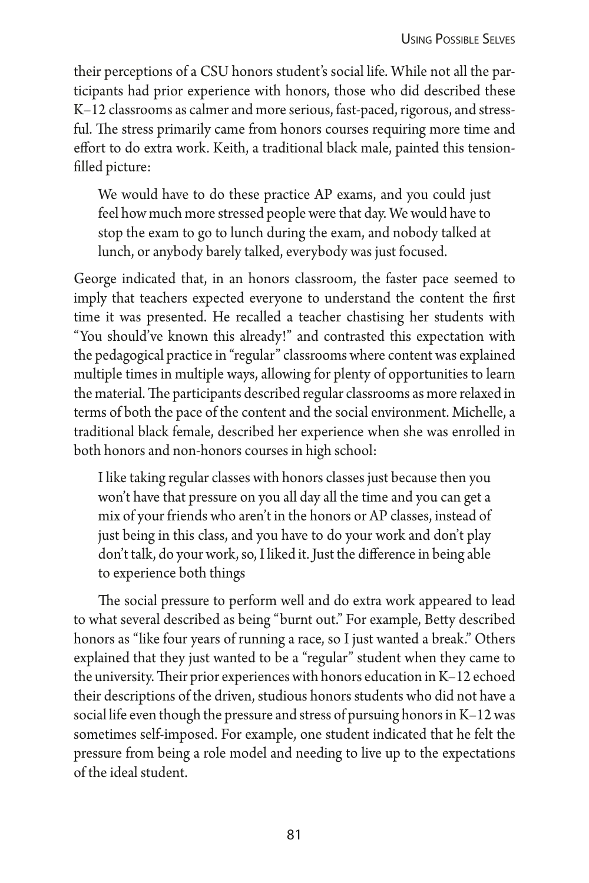their perceptions of a CSU honors student's social life. While not all the participants had prior experience with honors, those who did described these K–12 classrooms as calmer and more serious, fast-paced, rigorous, and stressful. The stress primarily came from honors courses requiring more time and efort to do extra work. Keith, a traditional black male, painted this tensionflled picture:

We would have to do these practice AP exams, and you could just feel how much more stressed people were that day. We would have to stop the exam to go to lunch during the exam, and nobody talked at lunch, or anybody barely talked, everybody was just focused.

George indicated that, in an honors classroom, the faster pace seemed to imply that teachers expected everyone to understand the content the frst time it was presented. He recalled a teacher chastising her students with "You should've known this already!" and contrasted this expectation with the pedagogical practice in "regular" classrooms where content was explained multiple times in multiple ways, allowing for plenty of opportunities to learn the material. The participants described regular classrooms as more relaxed in terms of both the pace of the content and the social environment. Michelle, a traditional black female, described her experience when she was enrolled in both honors and non-honors courses in high school:

I like taking regular classes with honors classes just because then you won't have that pressure on you all day all the time and you can get a mix of your friends who aren't in the honors or AP classes, instead of just being in this class, and you have to do your work and don't play don't talk, do your work, so, I liked it. Just the diference in being able to experience both things

The social pressure to perform well and do extra work appeared to lead to what several described as being "burnt out." For example, Bety described honors as "like four years of running a race, so I just wanted a break." Others explained that they just wanted to be a "regular" student when they came to the university. Their prior experiences with honors education in K-12 echoed their descriptions of the driven, studious honors students who did not have a social life even though the pressure and stress of pursuing honors in K–12 was sometimes self-imposed. For example, one student indicated that he felt the pressure from being a role model and needing to live up to the expectations of the ideal student.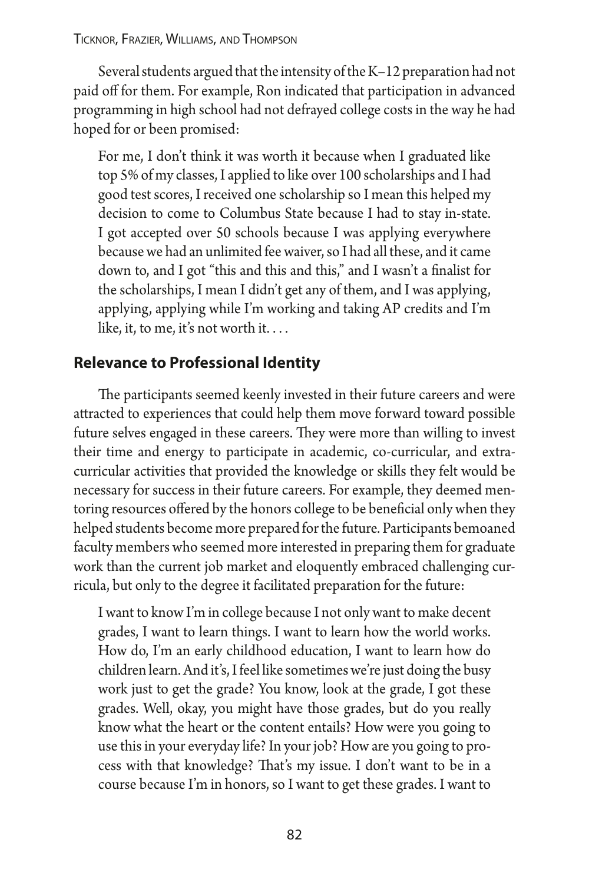Several students argued that the intensity of the K–12 preparation had not paid off for them. For example, Ron indicated that participation in advanced programming in high school had not defrayed college costs in the way he had hoped for or been promised:

For me, I don't think it was worth it because when I graduated like top 5% of my classes, I applied to like over 100 scholarships and I had good test scores, I received one scholarship so I mean this helped my decision to come to Columbus State because I had to stay in-state. I got accepted over 50 schools because I was applying everywhere because we had an unlimited fee waiver, so I had all these, and it came down to, and I got "this and this and this," and I wasn't a fnalist for the scholarships, I mean I didn't get any of them, and I was applying, applying, applying while I'm working and taking AP credits and I'm like, it, to me, it's not worth it....

#### **Relevance to Professional Identity**

The participants seemed keenly invested in their future careers and were atracted to experiences that could help them move forward toward possible future selves engaged in these careers. They were more than willing to invest their time and energy to participate in academic, co-curricular, and extracurricular activities that provided the knowledge or skills they felt would be necessary for success in their future careers. For example, they deemed mentoring resources ofered by the honors college to be benefcial only when they helped students become more prepared for the future. Participants bemoaned faculty members who seemed more interested in preparing them for graduate work than the current job market and eloquently embraced challenging curricula, but only to the degree it facilitated preparation for the future:

I want to know I'm in college because I not only want to make decent grades, I want to learn things. I want to learn how the world works. How do, I'm an early childhood education, I want to learn how do children learn. And it's, I feel like sometimes we're just doing the busy work just to get the grade? You know, look at the grade, I got these grades. Well, okay, you might have those grades, but do you really know what the heart or the content entails? How were you going to use this in your everyday life? In your job? How are you going to process with that knowledge? That's my issue. I don't want to be in a course because I'm in honors, so I want to get these grades. I want to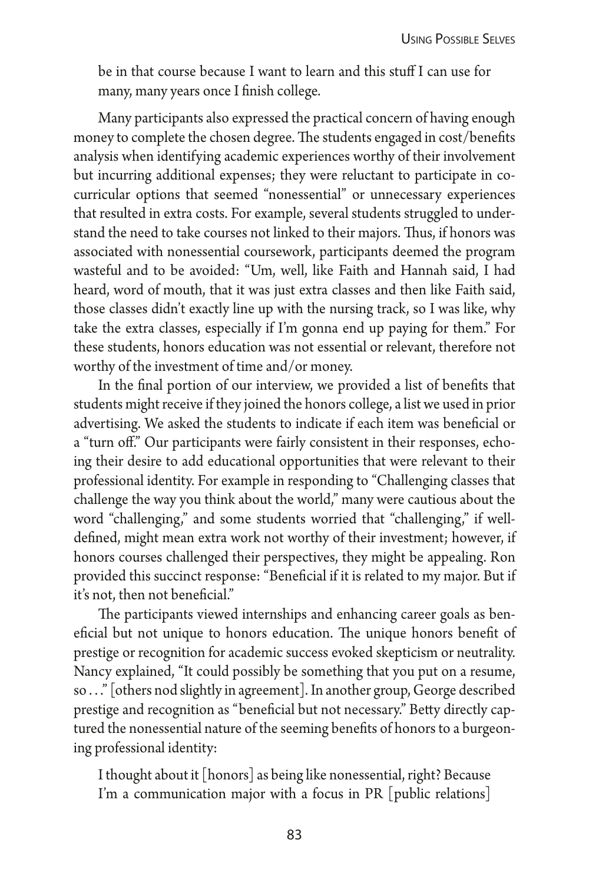be in that course because I want to learn and this stuf I can use for many, many years once I fnish college.

Many participants also expressed the practical concern of having enough money to complete the chosen degree. The students engaged in cost/benefits analysis when identifying academic experiences worthy of their involvement but incurring additional expenses; they were reluctant to participate in cocurricular options that seemed "nonessential" or unnecessary experiences that resulted in extra costs. For example, several students struggled to understand the need to take courses not linked to their majors. Thus, if honors was associated with nonessential coursework, participants deemed the program wasteful and to be avoided: "Um, well, like Faith and Hannah said, I had heard, word of mouth, that it was just extra classes and then like Faith said, those classes didn't exactly line up with the nursing track, so I was like, why take the extra classes, especially if I'm gonna end up paying for them." For these students, honors education was not essential or relevant, therefore not worthy of the investment of time and/or money.

In the fnal portion of our interview, we provided a list of benefts that students might receive if they joined the honors college, a list we used in prior advertising. We asked the students to indicate if each item was benefcial or a "turn of." Our participants were fairly consistent in their responses, echoing their desire to add educational opportunities that were relevant to their professional identity. For example in responding to "Challenging classes that challenge the way you think about the world," many were cautious about the word "challenging," and some students worried that "challenging," if welldefned, might mean extra work not worthy of their investment; however, if honors courses challenged their perspectives, they might be appealing. Ron provided this succinct response: "Benefcial if it is related to my major. But if it's not, then not benefcial."

The participants viewed internships and enhancing career goals as beneficial but not unique to honors education. The unique honors benefit of prestige or recognition for academic success evoked skepticism or neutrality. Nancy explained, "It could possibly be something that you put on a resume, so ..." [others nod slightly in agreement]. In another group, George described prestige and recognition as "beneficial but not necessary." Betty directly captured the nonessential nature of the seeming benefts of honors to a burgeoning professional identity:

I thought about it [honors] as being like nonessential, right? Because I'm a communication major with a focus in PR [public relations]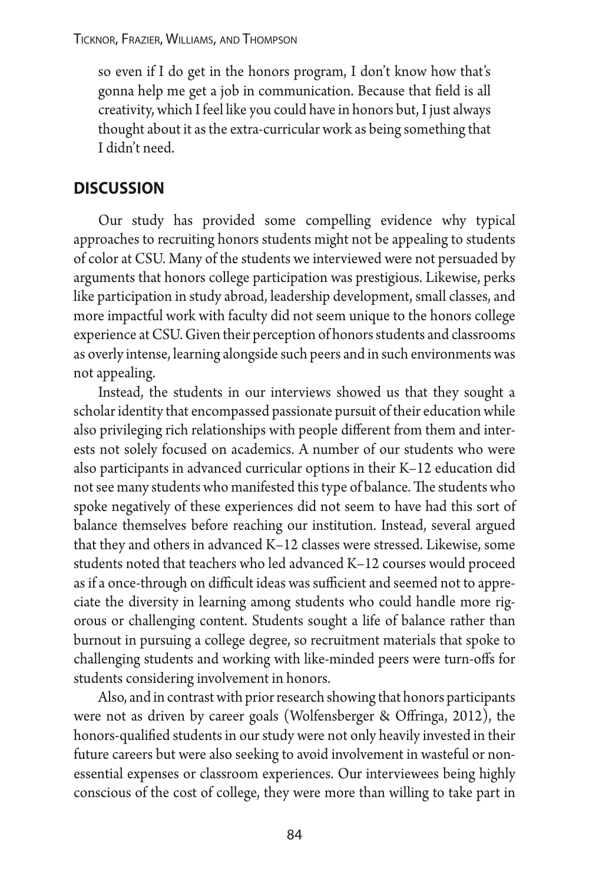Ticknor, Frazier, Williams, and Thompson

so even if I do get in the honors program, I don't know how that's gonna help me get a job in communication. Because that feld is all creativity, which I feel like you could have in honors but, I just always thought about it as the extra-curricular work as being something that I didn't need.

#### **discussion**

Our study has provided some compelling evidence why typical approaches to recruiting honors students might not be appealing to students of color at CSU. Many of the students we interviewed were not persuaded by arguments that honors college participation was prestigious. Likewise, perks like participation in study abroad, leadership development, small classes, and more impactful work with faculty did not seem unique to the honors college experience at CSU. Given their perception of honors students and classrooms as overly intense, learning alongside such peers and in such environments was not appealing.

Instead, the students in our interviews showed us that they sought a scholar identity that encompassed passionate pursuit of their education while also privileging rich relationships with people diferent from them and interests not solely focused on academics. A number of our students who were also participants in advanced curricular options in their K–12 education did not see many students who manifested this type of balance. The students who spoke negatively of these experiences did not seem to have had this sort of balance themselves before reaching our institution. Instead, several argued that they and others in advanced K–12 classes were stressed. Likewise, some students noted that teachers who led advanced K–12 courses would proceed as if a once-through on difficult ideas was sufficient and seemed not to appreciate the diversity in learning among students who could handle more rigorous or challenging content. Students sought a life of balance rather than burnout in pursuing a college degree, so recruitment materials that spoke to challenging students and working with like-minded peers were turn-ofs for students considering involvement in honors.

Also, and in contrast with prior research showing that honors participants were not as driven by career goals (Wolfensberger & Ofringa, 2012), the honors-qualifed students in our study were not only heavily invested in their future careers but were also seeking to avoid involvement in wasteful or nonessential expenses or classroom experiences. Our interviewees being highly conscious of the cost of college, they were more than willing to take part in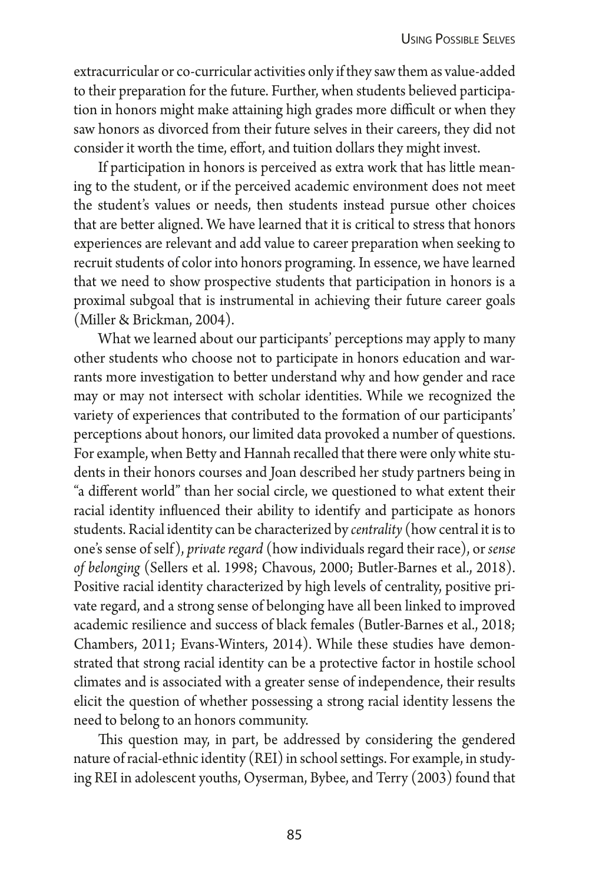extracurricular or co-curricular activities only if they saw them as value-added to their preparation for the future. Further, when students believed participation in honors might make attaining high grades more difficult or when they saw honors as divorced from their future selves in their careers, they did not consider it worth the time, efort, and tuition dollars they might invest.

If participation in honors is perceived as extra work that has litle meaning to the student, or if the perceived academic environment does not meet the student's values or needs, then students instead pursue other choices that are better aligned. We have learned that it is critical to stress that honors experiences are relevant and add value to career preparation when seeking to recruit students of color into honors programing. In essence, we have learned that we need to show prospective students that participation in honors is a proximal subgoal that is instrumental in achieving their future career goals (Miller & Brickman, 2004).

What we learned about our participants' perceptions may apply to many other students who choose not to participate in honors education and warrants more investigation to better understand why and how gender and race may or may not intersect with scholar identities. While we recognized the variety of experiences that contributed to the formation of our participants' perceptions about honors, our limited data provoked a number of questions. For example, when Bety and Hannah recalled that there were only white students in their honors courses and Joan described her study partners being in "a diferent world" than her social circle, we questioned to what extent their racial identity infuenced their ability to identify and participate as honors students. Racial identity can be characterized by *centrality* (how central it is to one's sense of self), *private regard* (how individuals regard their race), or *sense of belonging* (Sellers et al. 1998; Chavous, 2000; Butler-Barnes et al., 2018). Positive racial identity characterized by high levels of centrality, positive private regard, and a strong sense of belonging have all been linked to improved academic resilience and success of black females (Butler-Barnes et al., 2018; Chambers, 2011; Evans-Winters, 2014). While these studies have demonstrated that strong racial identity can be a protective factor in hostile school climates and is associated with a greater sense of independence, their results elicit the question of whether possessing a strong racial identity lessens the need to belong to an honors community.

This question may, in part, be addressed by considering the gendered nature of racial-ethnic identity (REI) in school setings. For example, in studying REI in adolescent youths, Oyserman, Bybee, and Terry (2003) found that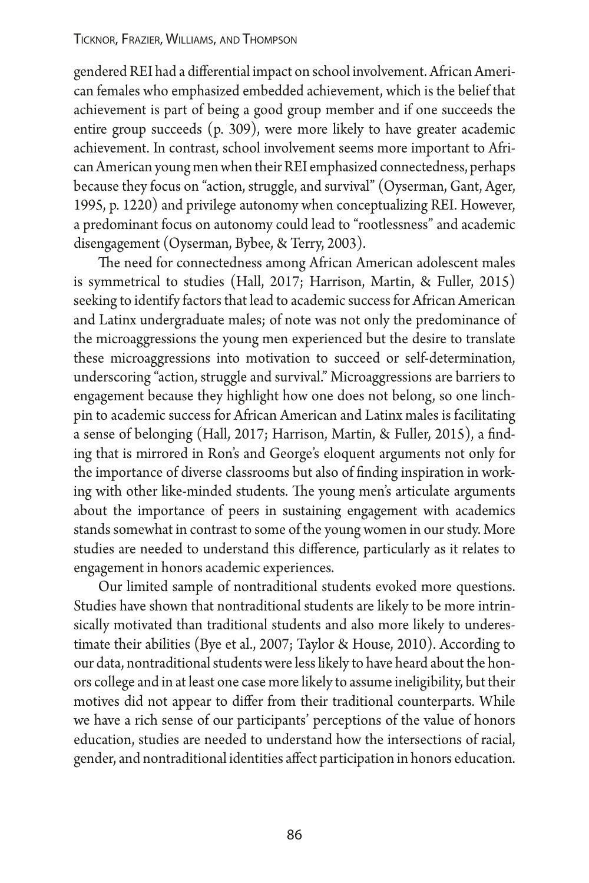gendered REI had a diferential impact on school involvement. African American females who emphasized embedded achievement, which is the belief that achievement is part of being a good group member and if one succeeds the entire group succeeds (p. 309), were more likely to have greater academic achievement. In contrast, school involvement seems more important to African American young men when their REI emphasized connectedness, perhaps because they focus on "action, struggle, and survival" (Oyserman, Gant, Ager, 1995, p. 1220) and privilege autonomy when conceptualizing REI. However, a predominant focus on autonomy could lead to "rootlessness" and academic disengagement (Oyserman, Bybee, & Terry, 2003).

The need for connectedness among African American adolescent males is symmetrical to studies (Hall, 2017; Harrison, Martin, & Fuller, 2015) seeking to identify factors that lead to academic success for African American and Latinx undergraduate males; of note was not only the predominance of the microaggressions the young men experienced but the desire to translate these microaggressions into motivation to succeed or self-determination, underscoring "action, struggle and survival." Microaggressions are barriers to engagement because they highlight how one does not belong, so one linchpin to academic success for African American and Latinx males is facilitating a sense of belonging (Hall, 2017; Harrison, Martin, & Fuller, 2015), a fnding that is mirrored in Ron's and George's eloquent arguments not only for the importance of diverse classrooms but also of fnding inspiration in working with other like-minded students. The young men's articulate arguments about the importance of peers in sustaining engagement with academics stands somewhat in contrast to some of the young women in our study. More studies are needed to understand this diference, particularly as it relates to engagement in honors academic experiences.

Our limited sample of nontraditional students evoked more questions. Studies have shown that nontraditional students are likely to be more intrinsically motivated than traditional students and also more likely to underestimate their abilities (Bye et al., 2007; Taylor & House, 2010). According to our data, nontraditional students were less likely to have heard about the honors college and in at least one case more likely to assume ineligibility, but their motives did not appear to difer from their traditional counterparts. While we have a rich sense of our participants' perceptions of the value of honors education, studies are needed to understand how the intersections of racial, gender, and nontraditional identities afect participation in honors education.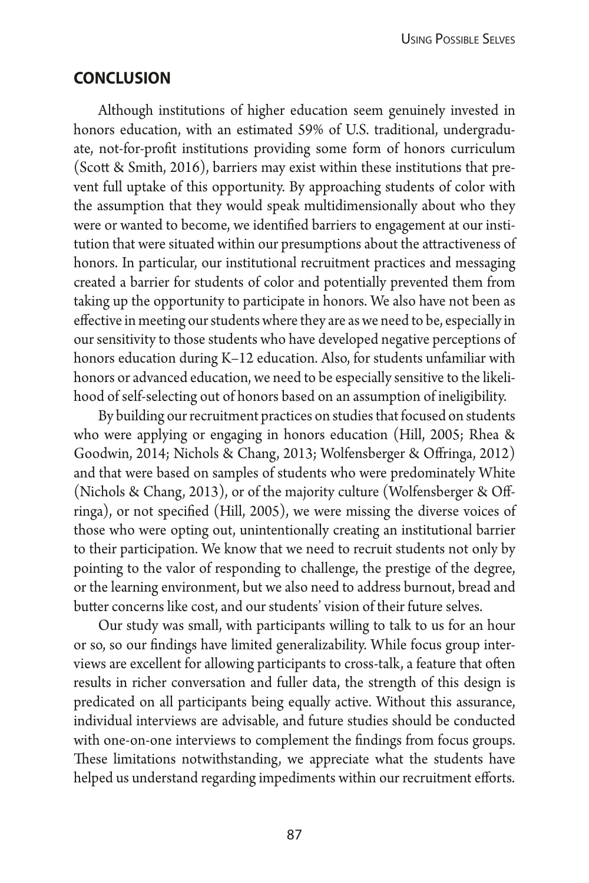#### **conclusion**

Although institutions of higher education seem genuinely invested in honors education, with an estimated 59% of U.S. traditional, undergraduate, not-for-proft institutions providing some form of honors curriculum (Scott & Smith, 2016), barriers may exist within these institutions that prevent full uptake of this opportunity. By approaching students of color with the assumption that they would speak multidimensionally about who they were or wanted to become, we identifed barriers to engagement at our institution that were situated within our presumptions about the atractiveness of honors. In particular, our institutional recruitment practices and messaging created a barrier for students of color and potentially prevented them from taking up the opportunity to participate in honors. We also have not been as efective in meeting our students where they are as we need to be, especially in our sensitivity to those students who have developed negative perceptions of honors education during K–12 education. Also, for students unfamiliar with honors or advanced education, we need to be especially sensitive to the likelihood of self-selecting out of honors based on an assumption of ineligibility.

By building our recruitment practices on studies that focused on students who were applying or engaging in honors education (Hill, 2005; Rhea & Goodwin, 2014; Nichols & Chang, 2013; Wolfensberger & Ofringa, 2012) and that were based on samples of students who were predominately White (Nichols & Chang, 2013), or of the majority culture (Wolfensberger & Ofringa), or not specifed (Hill, 2005), we were missing the diverse voices of those who were opting out, unintentionally creating an institutional barrier to their participation. We know that we need to recruit students not only by pointing to the valor of responding to challenge, the prestige of the degree, or the learning environment, but we also need to address burnout, bread and buter concerns like cost, and our students' vision of their future selves.

Our study was small, with participants willing to talk to us for an hour or so, so our fndings have limited generalizability. While focus group interviews are excellent for allowing participants to cross-talk, a feature that ofen results in richer conversation and fuller data, the strength of this design is predicated on all participants being equally active. Without this assurance, individual interviews are advisable, and future studies should be conducted with one-on-one interviews to complement the fndings from focus groups. These limitations notwithstanding, we appreciate what the students have helped us understand regarding impediments within our recruitment efforts.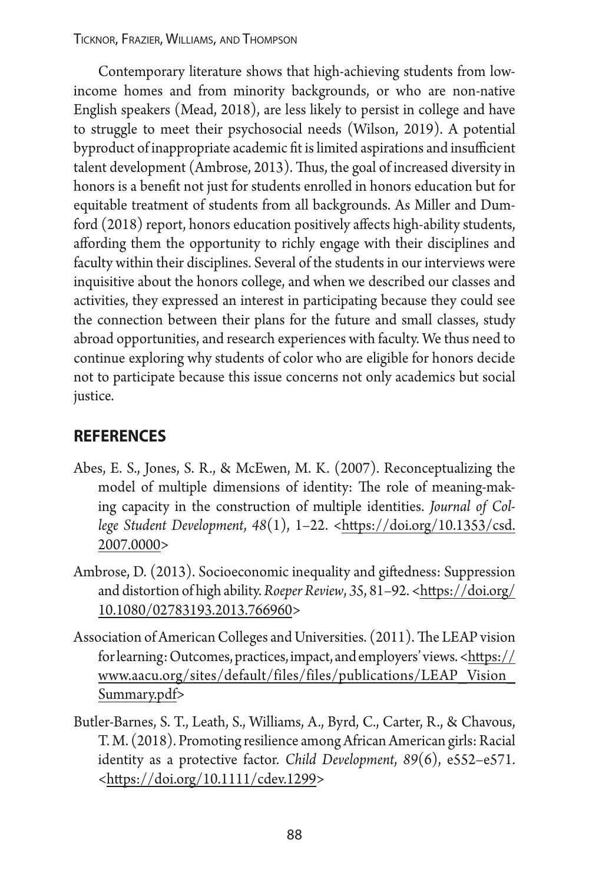Contemporary literature shows that high-achieving students from lowincome homes and from minority backgrounds, or who are non-native English speakers (Mead, 2018), are less likely to persist in college and have to struggle to meet their psychosocial needs (Wilson, 2019). A potential byproduct of inappropriate academic fit is limited aspirations and insufficient talent development (Ambrose, 2013). Thus, the goal of increased diversity in honors is a beneft not just for students enrolled in honors education but for equitable treatment of students from all backgrounds. As Miller and Dumford (2018) report, honors education positively affects high-ability students, afording them the opportunity to richly engage with their disciplines and faculty within their disciplines. Several of the students in our interviews were inquisitive about the honors college, and when we described our classes and activities, they expressed an interest in participating because they could see the connection between their plans for the future and small classes, study abroad opportunities, and research experiences with faculty. We thus need to continue exploring why students of color who are eligible for honors decide not to participate because this issue concerns not only academics but social justice.

### **references**

- Abes, E. S., Jones, S. R., & McEwen, M. K. (2007). Reconceptualizing the model of multiple dimensions of identity: The role of meaning-making capacity in the construction of multiple identities.*Journal of College Student Development*, *48*(1), 1–22. <[htps://doi.org/10.1353/csd.](https://doi.org/10.1353/csd.2007.0000) [2007.0000>](https://doi.org/10.1353/csd.2007.0000)
- Ambrose, D. (2013). Socioeconomic inequality and gifedness: Suppression and distortion of high ability.*Roeper Review*, *35*, 81–92. [<htps://doi.org/](https://doi.org/10.1080/02783193.2013.766960) [10.1080/02783193.2013.766960](https://doi.org/10.1080/02783193.2013.766960)>
- Association of American Colleges and Universities. (2011). The LEAP vision for learning: Outcomes, practices, impact, and employers' views. [<htps://](https://www.aacu.org/sites/default/files/files/publications/LEAP_Vision_Summary.pdf) [www.aacu.org/sites/default/files/files/publications/LEAP\\_Vision\\_](https://www.aacu.org/sites/default/files/files/publications/LEAP_Vision_Summary.pdf) [Summary.pdf](https://www.aacu.org/sites/default/files/files/publications/LEAP_Vision_Summary.pdf)>
- Butler-Barnes, S. T., Leath, S., Williams, A., Byrd, C., Carter, R., & Chavous, T. M. (2018). Promoting resilience among African American girls: Racial identity as a protective factor.*Child Development*, *89*(6), e552–e571. [<htps://doi.org/10.1111/cdev.1299>](https://doi.org/10.1111/cdev.1299)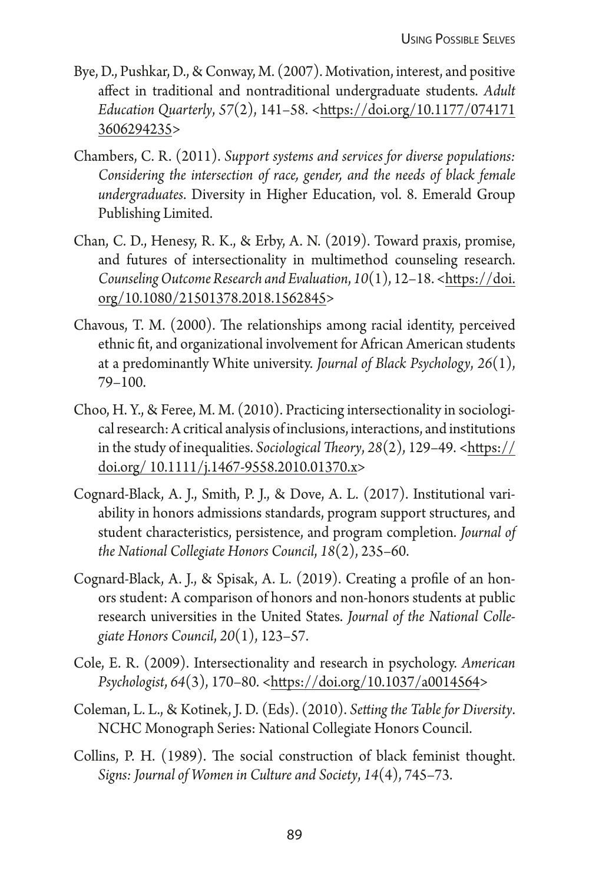- Bye, D., Pushkar, D., & Conway, M. (2007). Motivation, interest, and positive afect in traditional and nontraditional undergraduate students.*Adult Education Quarterly*, *57*(2), 141–58. <[htps://doi.org/10.1177/074171](https://doi.org/10.1177/0741713606294235) [3606294235](https://doi.org/10.1177/0741713606294235)>
- Chambers, C. R. (2011).*Support systems and services for diverse populations: Considering the intersection of race, gender, and the needs of black female undergraduates*. Diversity in Higher Education, vol. 8. Emerald Group Publishing Limited.
- Chan, C. D., Henesy, R. K., & Erby, A. N. (2019). Toward praxis, promise, and futures of intersectionality in multimethod counseling research. *Counseling Outcome Research and Evaluation*, *10*(1), 12–18. <[htps://doi.](https://doi.org/10.1080/21501378.2018.1562845) [org/10.1080/21501378.2018.1562845](https://doi.org/10.1080/21501378.2018.1562845)>
- Chavous, T. M. (2000). The relationships among racial identity, perceived ethnic ft, and organizational involvement for African American students at a predominantly White university.*Journal of Black Psychology*, *26*(1), 79–100.
- Choo, H. Y., & Feree, M. M. (2010). Practicing intersectionality in sociological research: A critical analysis of inclusions, interactions, and institutions in the study of inequalities. *Sociological Theory*, 28(2), 129-49. <https:// [doi.org/ 10.1111/j.1467-9558.2010.01370.x>](https://doi.org/ 10.1111/j.1467-9558.2010.01370.x)
- Cognard-Black, A. J., Smith, P. J., & Dove, A. L. (2017). Institutional variability in honors admissions standards, program support structures, and student characteristics, persistence, and program completion.*Journal of the National Collegiate Honors Council*, *18*(2), 235–60.
- Cognard-Black, A. J., & Spisak, A. L. (2019). Creating a profle of an honors student: A comparison of honors and non-honors students at public research universities in the United States.*Journal of the National Collegiate Honors Council*, *20*(1), 123–57.
- Cole, E. R. (2009). Intersectionality and research in psychology.*American Psychologist*, *64*(3), 170–80. <[htps://doi.org/10.1037/a0014564>](https://doi.org/10.1037/a0014564)
- Coleman, L. L., & Kotinek, J. D. (Eds). (2010).*Seting the Table for Diversity*. NCHC Monograph Series: National Collegiate Honors Council.
- Collins, P. H. (1989). The social construction of black feminist thought. *Signs: Journal of Women in Culture and Society*, *14*(4), 745–73.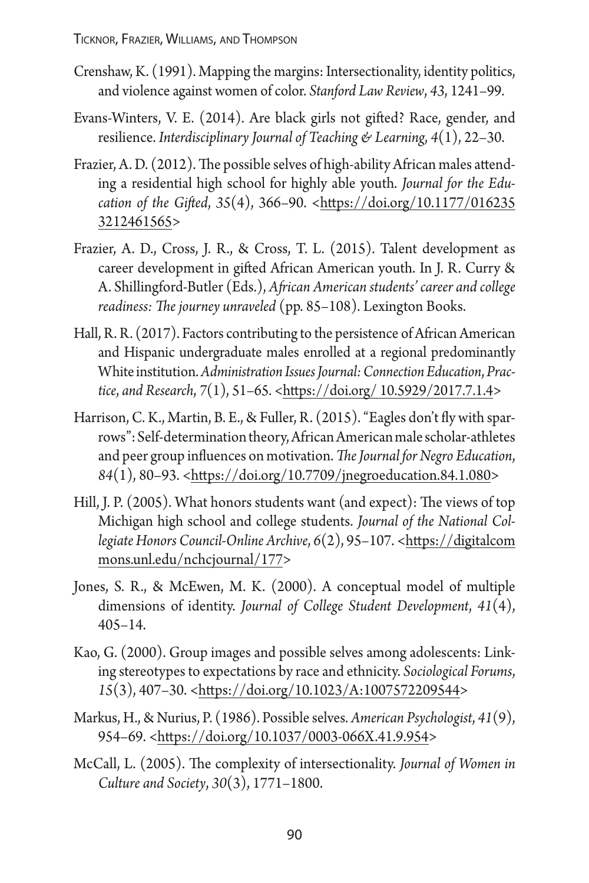- Crenshaw, K. (1991). Mapping the margins: Intersectionality, identity politics, and violence against women of color.*Stanford Law Review*, *43*, 1241–99.
- [Evans-Winters, V. E. \(2014\). Are black girls not gifed? Race, gender, and](https://www.zotero.org/google-docs/?7ValuT)  resilience.*[Interdisciplinary Journal of Teaching & Learning](https://www.zotero.org/google-docs/?7ValuT)*, *4*(1), 22–30.
- Frazier, A. D. (2012). The possible selves of high-ability African males attending a residential high school for highly able youth.*Journal for the Education of the Gifed*, *35*(4), 366–90. <[htps://doi.org/10.1177/016235](https://doi.org/10.1177/0162353212461565)  [3212461565](https://doi.org/10.1177/0162353212461565)>
- Frazier, A. D., Cross, J. R., & Cross, T. L. (2015). Talent development as career development in gifed African American youth. In J. R. Curry & A. Shillingford-Butler (Eds.), *Afican American students' career and college*  readiness: The journey unraveled (pp. 85-108). Lexington Books.
- Hall, R. R. (2017). Factors contributing to the persistence of African American and Hispanic undergraduate males enrolled at a regional predominantly White institution.*Administration Issues Journal: Connection Education*, *Practice*, *and Research*, *7*(1), 51–65. [<htps://doi.org/ 10.5929/2017.7.1.4>](https://doi.org/ 10.5929/2017.7.1.4)
- Harrison, C. K., Martin, B. E., & Fuller, R. (2015). "Eagles don't fy with sparrows": Self-determination theory, African American male scholar-athletes and peer group influences on motivation. The Journal for Negro Education, *84*(1), 80–93. [<htps://doi.org/10.7709/jnegroeducation.84.1.080](https://doi.org/10.7709/jnegroeducation.84.1.080)>
- Hill, J. P. (2005). What honors students want (and expect): The views of top Michigan high school and college students.*Journal of the National Collegiate Honors Council-Online Archive*, *6*(2), 95–107. <[htps://digitalcom](https://digitalcommons.unl.edu/nchcjournal/177)  [mons.unl.edu/nchcjournal/177>](https://digitalcommons.unl.edu/nchcjournal/177)
- Jones, S. R., & McEwen, M. K. (2000). A conceptual model of multiple dimensions of identity.*Journal of College Student Development*, *41*(4), 405–14.
- Kao, G. (2000). Group images and possible selves among adolescents: Linking stereotypes to expectations by race and ethnicity.*Sociological Forums*, *15*(3), 407–30. <[htps://doi.org/10.1023/A:1007572209544](https://doi.org/10.1023/A:1007572209544)>
- Markus, H., & Nurius, P. (1986). Possible selves.*American Psychologist*, *41*(9), 954–69. <[htps://doi.org/10.1037/0003-066X.41.9.954](https://doi.org/10.1037/0003-066X.41.9.954)>
- McCall, L. (2005). The complexity of intersectionality. Journal of Women in *Culture and Society*, *30*(3), 1771–1800.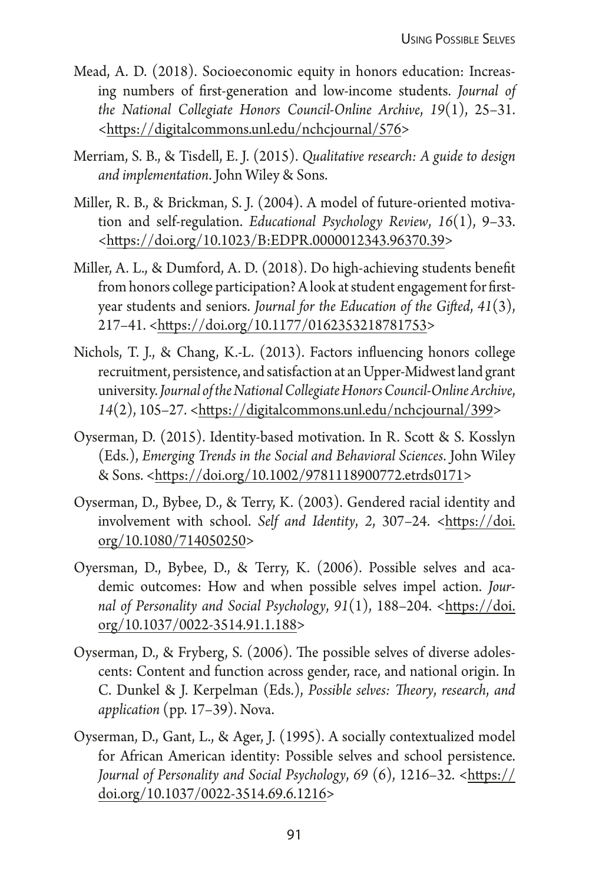- Mead, A. D. (2018). Socioeconomic equity in honors education: Increasing numbers of frst-generation and low-income students.*Journal of the National Collegiate Honors Council-Online Archive*, *19*(1), 25–31. [<htps://digitalcommons.unl.edu/nchcjournal/576](https://digitalcommons.unl.edu/nchcjournal/576)>
- Merriam, S. B., & Tisdell, E. J. (2015).*Qualitative research: A guide to design and implementation*. John Wiley & Sons.
- Miller, R. B., & Brickman, S. J. (2004). A model of future-oriented motivation and self-regulation.*Educational Psychology Review*, *16*(1), 9–33. [<htps://doi.org/10.1023/B:EDPR.0000012343.96370.39](https://doi.org/10.1023/B:EDPR.0000012343.96370.39)>
- Miller, A. L., & Dumford, A. D. (2018). Do high-achieving students beneft from honors college participation? A look at student engagement for frstyear students and seniors.*Journal for the Education of the Gifed*, *41*(3), 217–41. <[htps://doi.org/10.1177/0162353218781753](https://doi.org/10.1177/0162353218781753)>
- Nichols, T. J., & Chang, K.-L. (2013). Factors infuencing honors college recruitment, persistence, and satisfaction at an Upper-Midwest land grant university.*Journal of the National Collegiate Honors Council-Online Archive*, *14*(2), 105–27. <[htps://digitalcommons.unl.edu/nchcjournal/399>](https://digitalcommons.unl.edu/nchcjournal/399)
- Oyserman, D. (2015). Identity-based motivation. In R. Scott & S. Kosslyn (Eds.), *Emerging Trends in the Social and Behavioral Sciences*. John Wiley & Sons. <[htps://doi.org/10.1002/9781118900772.etrds0171>](https://doi.org/10.1002/9781118900772.etrds0171)
- Oyserman, D., Bybee, D., & Terry, K. (2003). Gendered racial identity and involvement with school.*Self and Identity*, *2*, 307–24. <[htps://doi.](https://doi.org/10.1080/714050250) [org/10.1080/714050250](https://doi.org/10.1080/714050250)>
- Oyersman, D., Bybee, D., & Terry, K. (2006). Possible selves and academic outcomes: How and when possible selves impel action.*Journal of Personality and Social Psychology*, *91*(1), 188–204. <[htps://doi.](https://doi.org/10.1037/0022-3514.91.1.188) [org/10.1037/0022-3514.91.1.188>](https://doi.org/10.1037/0022-3514.91.1.188)
- Oyserman, D., & Fryberg, S. (2006). The possible selves of diverse adolescents: Content and function across gender, race, and national origin. In C. Dunkel & J. Kerpelman (Eds.), *Possible selves: Theory, research, and application* (pp. 17–39). Nova.
- Oyserman, D., Gant, L., & Ager, J. (1995). A socially contextualized model for African American identity: Possible selves and school persistence. *Journal of Personality and Social Psychology, 69* (6), 1216–32. <https:// [doi.org/10.1037/0022-3514.69.6.1216](https://doi.org/10.1037/0022-3514.69.6.1216)>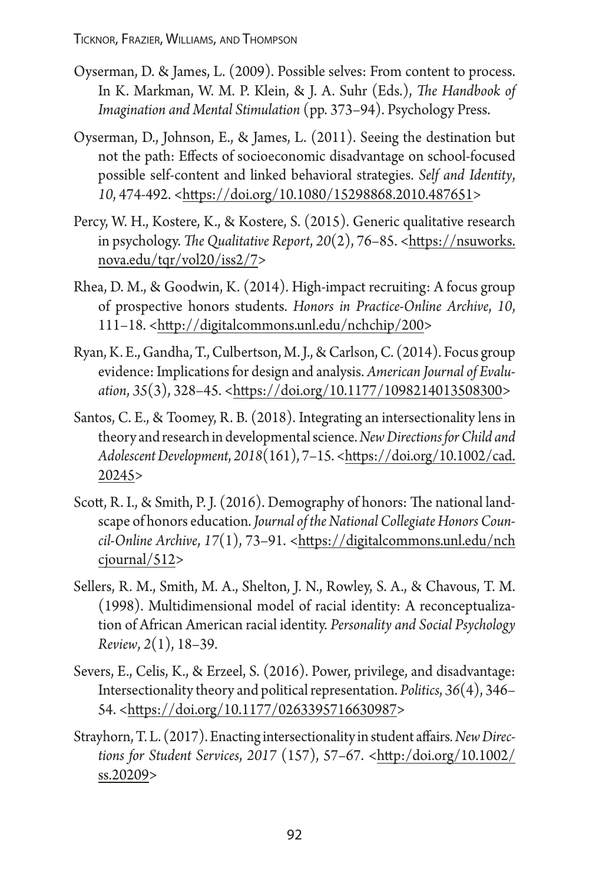- Oyserman, D. & James, L. (2009). Possible selves: From content to process. In K. Markman, W. M. P. Klein, & J. A. Suhr (Eds.), *The Handbook of Imagination and Mental Stimulation* (pp. 373–94). Psychology Press.
- Oyserman, D., Johnson, E., & James, L. (2011). Seeing the destination but not the path: Efects of socioeconomic disadvantage on school-focused possible self-content and linked behavioral strategies.*Self and Identity*, *10*, 474‐492. <[htps://doi.org/10.1080/15298868.2010.487651>](https://doi.org/10.1080/15298868.2010.487651)
- Percy, W. H., Kostere, K., & Kostere, S. (2015). Generic qualitative research in psychology. The Qualitative Report, 20(2), 76–85. <https://nsuworks. [nova.edu/tqr/vol20/iss2/7](https://nsuworks.nova.edu/tqr/vol20/iss2/7)>
- Rhea, D. M., & Goodwin, K. (2014). High-impact recruiting: A focus group of prospective honors students.*Honors in Practice-Online Archive*, *10*, 111–18. <[htp://digitalcommons.unl.edu/nchchip/200>](http://digitalcommons.unl.edu/nchchip/200)
- Ryan, K. E., Gandha, T., Culbertson, M. J., & Carlson, C. (2014). Focus group evidence: Implications for design and analysis.*American Journal of Evaluation*, *35*(3), 328–45. <[htps://doi.org/10.1177/1098214013508300](https://doi.org/10.1177/1098214013508300)>
- Santos, C. E., & Toomey, R. B. (2018). Integrating an intersectionality lens in theory and research in developmental science.*New Directions for Child and Adolescent Development*, *2018*(161), 7–15. [<htps://doi.org/10.1002/cad.](https://doi.org/10.1002/cad.20245) [20245>](https://doi.org/10.1002/cad.20245)
- Scott, R. I., & Smith, P. J. (2016). Demography of honors: The national landscape of honors education.*Journal of the National Collegiate Honors Coun*cil-Online Archive, 17(1), 73-91. <https://digitalcommons.unl.edu/nch [cjournal/512>](https://digitalcommons.unl.edu/nchcjournal/512)
- Sellers, R. M., Smith, M. A., Shelton, J. N., Rowley, S. A., & Chavous, T. M. (1998). Multidimensional model of racial identity: A reconceptualization of African American racial identity.*Personality and Social Psychology Review*, *2*(1), 18–39.
- Severs, E., Celis, K., & Erzeel, S. (2016). Power, privilege, and disadvantage: Intersectionality theory and political representation.*Politics*, *36*(4), 346– 54. <[htps://doi.org/10.1177/0263395716630987](https://doi.org/10.1177/0263395716630987)>
- Strayhorn, T. L. (2017). Enacting intersectionality in student afairs*. New Directions for Student Services*, *2017* (157), 57–67. [<htp:/doi.org/10.1002/](http:/doi.org/10.1002/ss.20209)  [ss.20209](http:/doi.org/10.1002/ss.20209)>